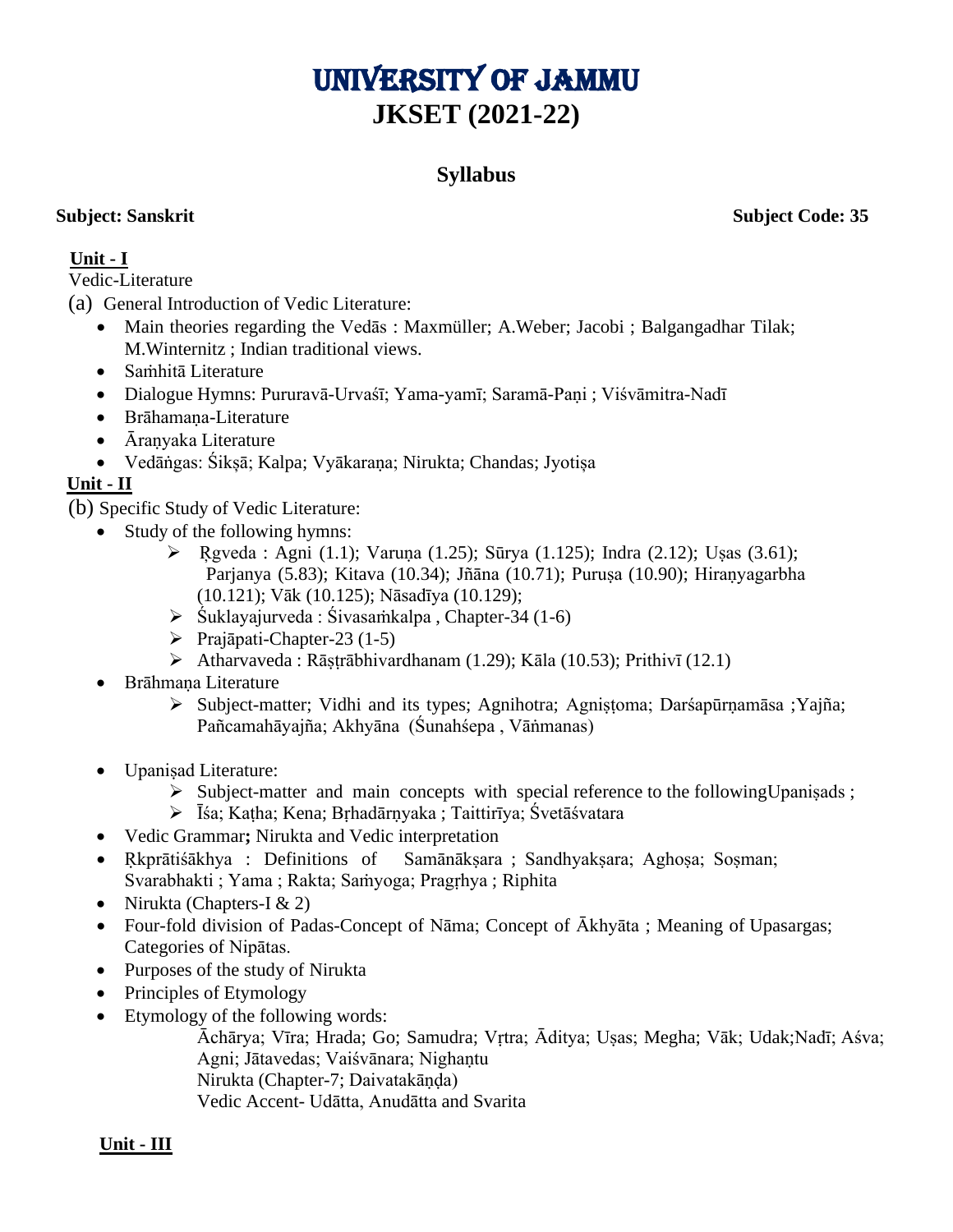# UNIVERSITY OF JAMMU **JKSET (2021-22)**

# **Syllabus**

**Subject: Sanskrit Subject Code: 35**

# **Unit - I**

Vedic-Literature

(a) General Introduction of Vedic Literature:

- Main theories regarding the Vedās : Maxmüller; A.Weber; Jacobi ; Balgangadhar Tilak; M.Winternitz ; Indian traditional views.
- Saṁhitā Literature
- Dialogue Hymns: Pururavā-Urvaśī; Yama-yamī; Saramā-Paṇi ; Viśvāmitra-Nadī
- Brāhamana-Literature
- Āraṇyaka Literature
- Vedāṅgas: Śikșā; Kalpa; Vyākaraṇa; Nirukta; Chandas; Jyotișa

# **Unit - II**

(b) Specific Study of Vedic Literature:

- Study of the following hymns:
	- $\triangleright$  Rgveda : Agni (1.1); Varuna (1.25); Sūrya (1.125); Indra (2.12); Usas (3.61); Parjanya (5.83); Kitava (10.34); Jñāna (10.71); Purusa (10.90); Hiranyagarbha (10.121); Vāk (10.125); Nāsadīya (10.129);
	- ➢ Śuklayajurveda : Śivasaṁkalpa , Chapter-34 (1-6)
	- ➢ Prajāpati-Chapter-23 (1-5)
	- $\triangleright$  Atharvaveda : Rāstrābhivardhanam (1.29); Kāla (10.53); Prithivī (12.1)
- Brāhmaṇa Literature
	- ≻ Subject-matter; Vidhi and its types; Agnihotra; Agnistoma; Darśapūrnamāsa ;Yajña; Pañcamahāyajña; Akhyāna (Śunahśepa , Vāṅmanas)
- Upanisad Literature:
	- $\triangleright$  Subject-matter and main concepts with special reference to the following Upanisads;
	- ➢ Īśa; Kaṭha; Kena; Bṛhadārṇyaka ; Taittirīya; Śvetāśvatara
- Vedic Grammar**;** Nirukta and Vedic interpretation
- Ṛkprātiśākhya : Definitions of Samānākṣara ; Sandhyakṣara; Aghoṣa; Soṣman; Svarabhakti ; Yama ; Rakta; Saṁyoga; Pragṛhya ; Riphita
- Nirukta (Chapters-I  $& 2$ )
- Four-fold division of Padas-Concept of Nāma; Concept of Ākhyāta; Meaning of Upasargas; Categories of Nipātas.
- Purposes of the study of Nirukta
- Principles of Etymology
- Etymology of the following words:

Āchārya; Vīra; Hrada; Go; Samudra; Vṛtra; Āditya; Uṣas; Megha; Vāk; Udak;Nadī; Aśva; Agni; Jātavedas; Vaiśvānara; Nighantu Nirukta (Chapter-7; Daivatakāṇḍa)

Vedic Accent- Udātta, Anudātta and Svarita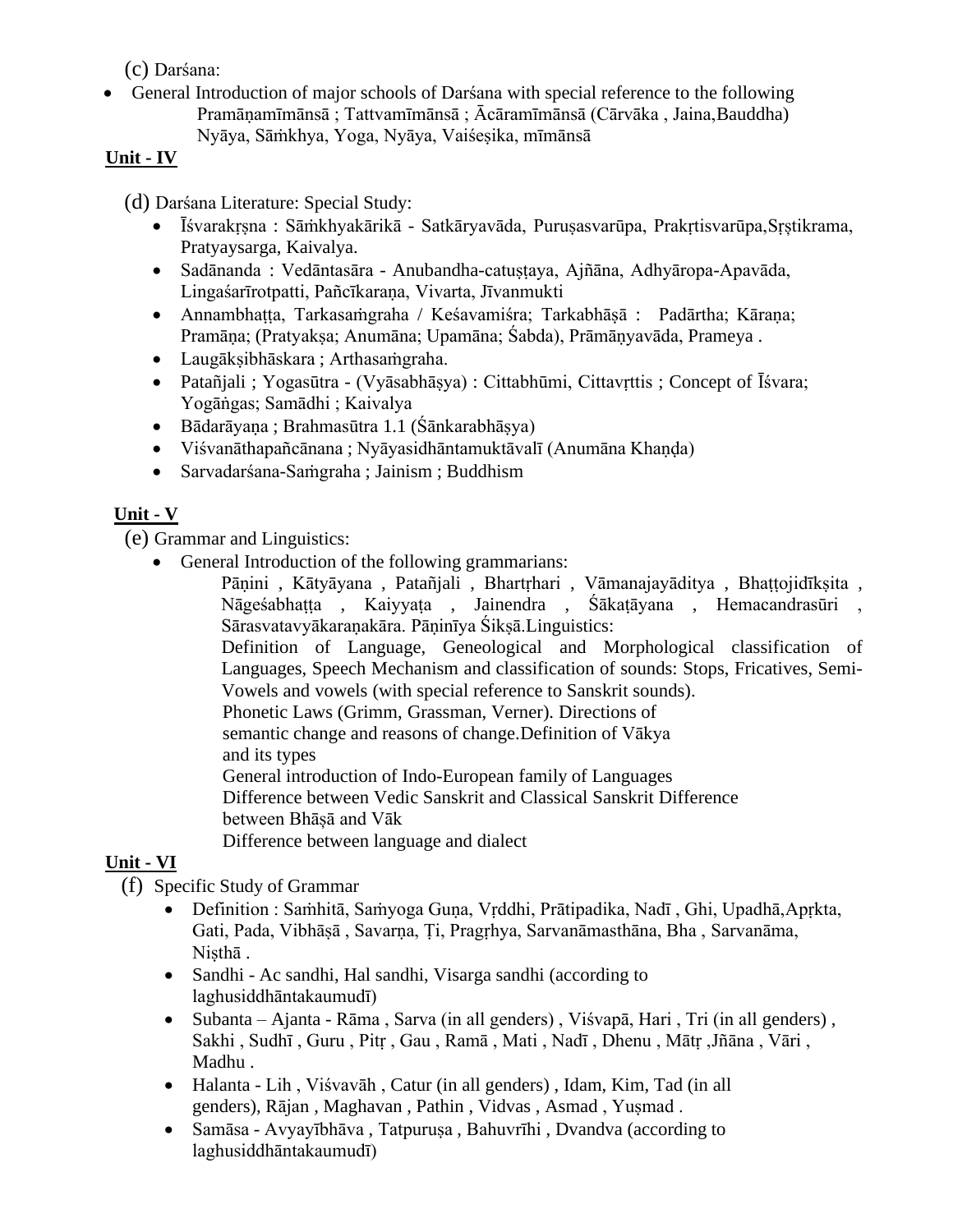(c) Darśana:

• General Introduction of major schools of Darśana with special reference to the following Pramāṇamīmānsā ; Tattvamīmānsā ; Ācāramīmānsā (Cārvāka , Jaina,Bauddha) Nyāya, Sāṁkhya, Yoga, Nyāya, Vaiśesika, mīmānsā

#### **Unit - IV**

- (d) Darśana Literature: Special Study:
	- Īśvarakrsna : Sāṁkhyakārikā Satkāryavāda, Purusasvarūpa, Prakrtisvarūpa, Srștikrama, Pratyaysarga, Kaivalya.
	- Sadānanda : Vedāntasāra Anubandha-catustaya, Ajñāna, Adhyāropa-Apavāda, Lingaśarīrotpatti, Pañcīkaraṇa, Vivarta, Jīvanmukti
	- Annambhatta, Tarkasaṁgraha / Keśavamiśra; Tarkabhāsā : Padārtha; Kārana; Pramāṇa; (Pratyakṣa; Anumāna; Upamāna; Śabda), Prāmāṇyavāda, Prameya .
	- Laugākṣibhāskara ; Arthasaṁgraha.
	- Patañjali ; Yogasūtra (Vyāsabhāsya) : Cittabhūmi, Cittavrttis ; Concept of Īśvara; Yogāṅgas; Samādhi ; Kaivalya
	- Bādarāyaṇa ; Brahmasūtra 1.1 (Śānkarabhāṣya)
	- Viśvanāthapañcānana ; Nyāyasidhāntamuktāvalī (Anumāna Khaṇḍa)
	- Sarvadarśana-Saṁgraha ; Jainism ; Buddhism

### **Unit - V**

(e) Grammar and Linguistics:

• General Introduction of the following grammarians:

Pānini , Kātyāyana , Patañjali , Bhartrhari , Vāmanajayāditya , Bhattojidīksita , Nāgeśabhaṭṭa , Kaiyyaṭa , Jainendra , Śākaṭāyana , Hemacandrasūri , Sārasvatavyākaraṇakāra. Pāṇinīya Śikṣā.Linguistics:

Definition of Language, Geneological and Morphological classification of Languages, Speech Mechanism and classification of sounds: Stops, Fricatives, Semi-Vowels and vowels (with special reference to Sanskrit sounds).

Phonetic Laws (Grimm, Grassman, Verner). Directions of

semantic change and reasons of change.Definition of Vākya

and its types

General introduction of Indo-European family of Languages

Difference between Vedic Sanskrit and Classical Sanskrit Difference between Bhāșā and Vāk

Difference between language and dialect

# **Unit - VI**

(f) Specific Study of Grammar

- Definition : Saṁhitā, Saṁyoga Guṇa, Vṛddhi, Prātipadika, Nadī , Ghi, Upadhā,Apṛkta, Gati, Pada, Vibhāṣā , Savarṇa, Ṭi, Pragṛhya, Sarvanāmasthāna, Bha , Sarvanāma, Niṣthā .
- Sandhi Ac sandhi, Hal sandhi, Visarga sandhi (according to laghusiddhāntakaumudī)
- Subanta Ajanta Rāma , Sarva (in all genders) , Viśvapā, Hari , Tri (in all genders) , Sakhi , Sudhī , Guru , Pitṛ , Gau , Ramā , Mati , Nadī , Dhenu , Mātṛ ,Jñāna , Vāri , Madhu .
- Halanta Lih , Viśvavāh , Catur (in all genders) , Idam, Kim, Tad (in all genders), Rājan , Maghavan , Pathin , Vidvas , Asmad , Yuṣmad .
- Samāsa Avyayībhāva, Tatpurusa, Bahuvrīhi, Dvandva (according to laghusiddhāntakaumudī)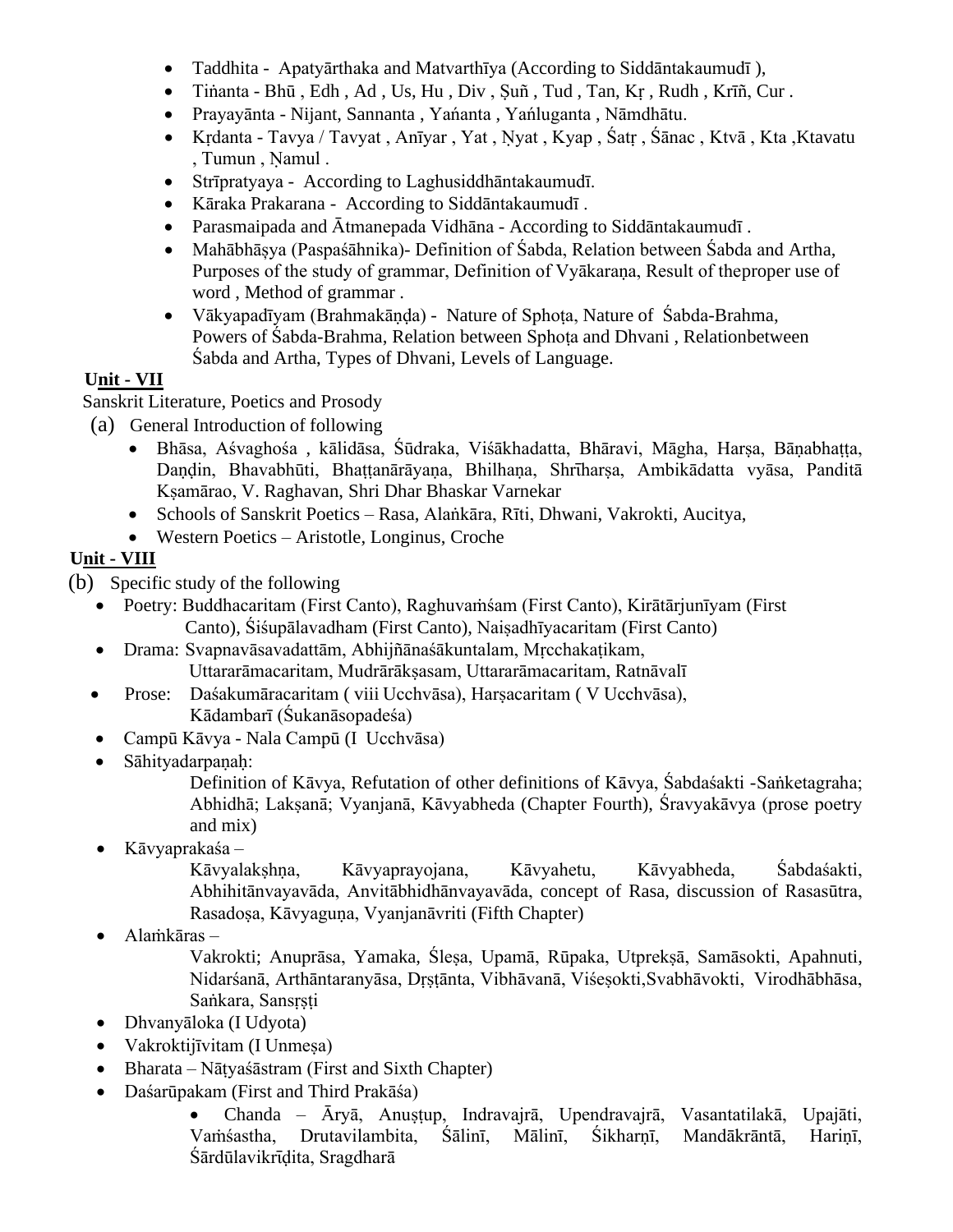- Taddhita Apatyārthaka and Matvarthīya (According to Siddāntakaumudī ),
- Tiṅanta Bhū , Edh , Ad , Us, Hu , Div , Ṣuñ , Tud , Tan, Kṛ , Rudh , Krīñ, Cur .
- Prayayānta Nijant, Sannanta , Yańanta , Yańluganta , Nāmdhātu.
- Kṛdanta Tavya / Tavyat , Anīyar , Yat , Nyat , Kyap , Śatṛ , Śānac , Ktvā , Kta , Ktavatu , Tumun, Namul.
- Strīpratyaya According to Laghusiddhāntakaumudī.
- Kāraka Prakarana According to Siddāntakaumudī .
- Parasmaipada and Ātmanepada Vidhāna According to Siddāntakaumudī .
- Mahābhāșya (Paspaśāhnika)- Definition of Śabda, Relation between Śabda and Artha, Purposes of the study of grammar, Definition of Vyākaraṇa, Result of theproper use of word , Method of grammar .
- Vākyapadīyam (Brahmakāṇḍa) Nature of Sphoṭa, Nature of Śabda-Brahma, Powers of Śabda-Brahma, Relation between Sphota and Dhvani, Relationbetween Śabda and Artha, Types of Dhvani, Levels of Language.

### **Unit - VII**

Sanskrit Literature, Poetics and Prosody

- (a) General Introduction of following
	- Bhāsa, Aśvaghośa , kālidāsa, Śūdraka, Viśākhadatta, Bhāravi, Māgha, Harṣa, Bāṇabhaṭṭa, Daṇḍin, Bhavabhūti, Bhaṭṭanārāyaṇa, Bhilhaṇa, Shrīharṣa, Ambikādatta vyāsa, Panditā Kṣamārao, V. Raghavan, Shri Dhar Bhaskar Varnekar
	- Schools of Sanskrit Poetics Rasa, Alaṅkāra, Rīti, Dhwani, Vakrokti, Aucitya,
	- Western Poetics Aristotle, Longinus, Croche

#### **Unit - VIII**

- (b) Specific study of the following
	- Poetry: Buddhacaritam (First Canto), Raghuvaṁśam (First Canto), Kirātārjunīyam (First Canto), Śiśupālavadham (First Canto), Naiṣadhīyacaritam (First Canto)
	- Drama: Svapnavāsavadattām, Abhijñānaśākuntalam, Mṛcchakaṭikam, Uttararāmacaritam, Mudrārākṣasam, Uttararāmacaritam, Ratnāvalī
	- Prose: Daśakumāracaritam ( viii Ucchvāsa), Harsacaritam ( V Ucchvāsa), Kādambarī (Śukanāsopadeśa)
	- Campū Kāvya Nala Campū (I Ucchvāsa)
	- Sāhityadarpanah:

Definition of Kāvya, Refutation of other definitions of Kāvya, Śabdaśakti -Saṅketagraha; Abhidhā; Lakṣanā; Vyanjanā, Kāvyabheda (Chapter Fourth), Śravyakāvya (prose poetry and mix)

• Kāvyaprakaśa –

Kāvyalakṣhṇa, Kāvyaprayojana, Kāvyahetu, Kāvyabheda, Śabdaśakti, Abhihitānvayavāda, Anvitābhidhānvayavāda, concept of Rasa, discussion of Rasasūtra, Rasadoṣa, Kāvyaguṇa, Vyanjanāvriti (Fifth Chapter)

• Alaṁkāras –

Vakrokti; Anuprāsa, Yamaka, Śleṣa, Upamā, Rūpaka, Utprekṣā, Samāsokti, Apahnuti, Nidarśanā, Arthāntaranyāsa, Dṛṣṭānta, Vibhāvanā, Viśeṣokti,Svabhāvokti, Virodhābhāsa, Saṅkara, Sansṛṣṭi

- Dhvanyāloka (I Udyota)
- Vakroktijīvitam (I Unmeṣa)
- Bharata Nāṭyaśāstram (First and Sixth Chapter)
- Daśarūpakam (First and Third Prakāśa)

• Chanda – Āryā, Anuṣṭup, Indravajrā, Upendravajrā, Vasantatilakā, Upajāti, Vaṁśastha, Drutavilambita, Śālinī, Mālinī, Śikharṇī, Mandākrāntā, Hariṇī, Śārdūlavikrīdita, Sragdharā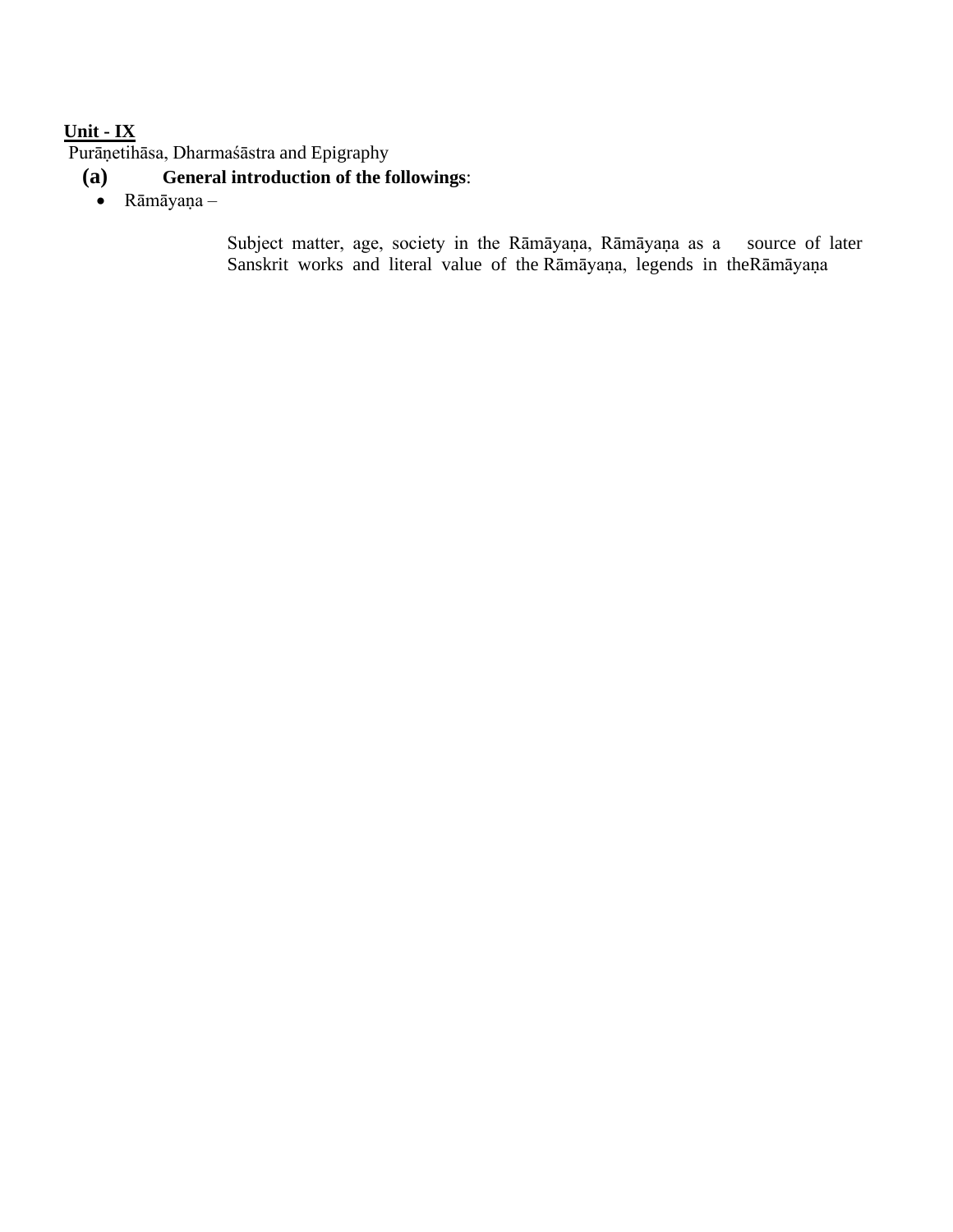# **Unit - IX**

Purāṇetihāsa, Dharmaśāstra and Epigraphy

- **(a) General introduction of the followings**:
	- Rāmāyaṇa –

Subject matter, age, society in the Rāmāyaṇa, Rāmāyaṇa as a source of later Sanskrit works and literal value of the Rāmāyaṇa, legends in theRāmāyaṇa